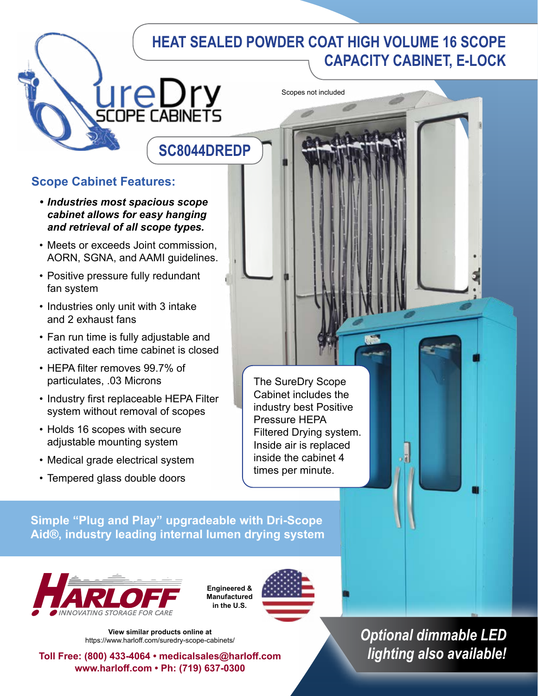## **HEAT SEALED POWDER COAT HIGH VOLUME 16 SCOPE CAPACITY CABINET, E-LOCK**

Scopes not included

## **SC8044DREDP**

**reDry**<br>DPE CABINETS

### **Scope Cabinet Features:**

- *• Industries most spacious scope cabinet allows for easy hanging and retrieval of all scope types.*
- Meets or exceeds Joint commission, AORN, SGNA, and AAMI guidelines.
- Positive pressure fully redundant fan system
- Industries only unit with 3 intake and 2 exhaust fans
- Fan run time is fully adjustable and activated each time cabinet is closed
- HEPA filter removes 99.7% of particulates, .03 Microns
- Industry first replaceable HEPA Filter system without removal of scopes
- Holds 16 scopes with secure adjustable mounting system
- Medical grade electrical system
- Tempered glass double doors

The SureDry Scope Cabinet includes the industry best Positive Pressure HEPA Filtered Drying system. Inside air is replaced inside the cabinet 4 times per minute.

#### **with Dri-Scope Aid®, industry leading Simple "Plug and Play" upgradeable with Dri-Scope internal lumen drying system Aid®, industry leading internal lumen drying system**



**Engineered & Manufactured in the U.S.**



**View similar products online at**  https://www.harloff.com/suredry-scope-cabinets/

**Toll Free: (800) 433-4064 • medicalsales@harloff.com www.harloff.com • Ph: (719) 637-0300**

*Optional dimmable LED lighting also available!* 

Ä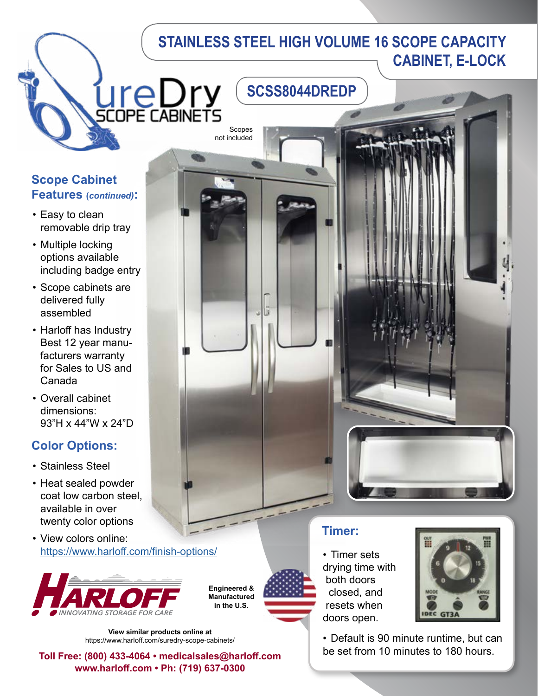## **STAINLESS STEEL HIGH VOLUME 16 SCOPE CAPACITY CABINET, E-LOCK**

**SCSS8044DREDP**

Scopes not included

**IFELDFY**<br>COPE CABINETS

#### **Scope Cabinet Features (***continued)***:**

- Easy to clean removable drip tray
- Multiple locking options available including badge entry
- Scope cabinets are delivered fully assembled
- Harloff has Industry Best 12 year manufacturers warranty for Sales to US and Canada
- Overall cabinet dimensions: 93"H x 44"W x 24"D

## **Color Options:**

- Stainless Steel
- Heat sealed powder coat low carbon steel, available in over twenty color options
- View colors online: <https://www.harloff.com/finish-options/>

**View similar products online at**  https://www.harloff.com/suredry-scope-cabinets/ **Toll Free: (800) 433-4064 • medicalsales@harloff.com www.harloff.com • Ph: (719) 637-0300**



**Engineered & Manufactured in the U.S.**



• Timer sets drying time with both doors closed, and resets when doors open.



• Default is 90 minute runtime, but can be set from 10 minutes to 180 hours.



 **Timer:**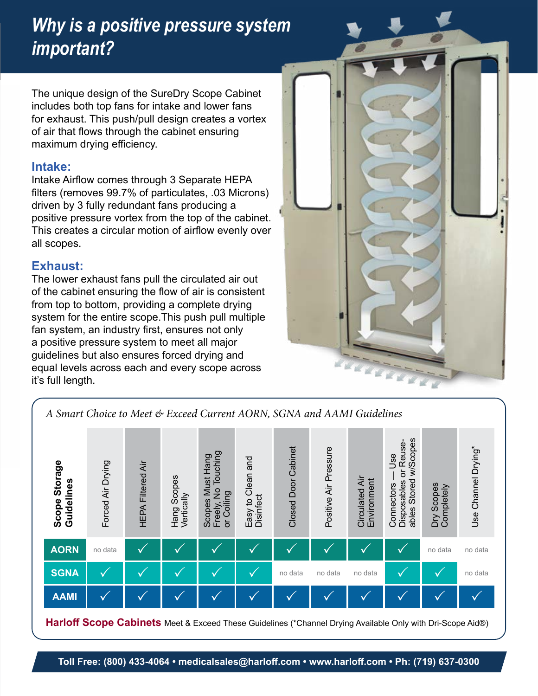## *Why is a positive pressure system important?*

The unique design of the SureDry Scope Cabinet includes both top fans for intake and lower fans for exhaust. This push/pull design creates a vortex of air that flows through the cabinet ensuring maximum drying efficiency.

#### **Intake:**

Intake Airflow comes through 3 Separate HEPA filters (removes 99.7% of particulates, .03 Microns) driven by 3 fully redundant fans producing a positive pressure vortex from the top of the cabinet. This creates a circular motion of airflow evenly over all scopes.

#### **Exhaust:**

The lower exhaust fans pull the circulated air out of the cabinet ensuring the flow of air is consistent from top to bottom, providing a complete drying system for the entire scope.This push pull multiple fan system, an industry first, ensures not only a positive pressure system to meet all major guidelines but also ensures forced drying and equal levels across each and every scope across it's full length.



*A Smart Choice to Meet & Exceed Current AORN, SGNA and AAMI Guidelines*



**Harloff Scope Cabinets** Meet & Exceed These Guidelines (\*Channel Drying Available Only with Dri-Scope Aid®)